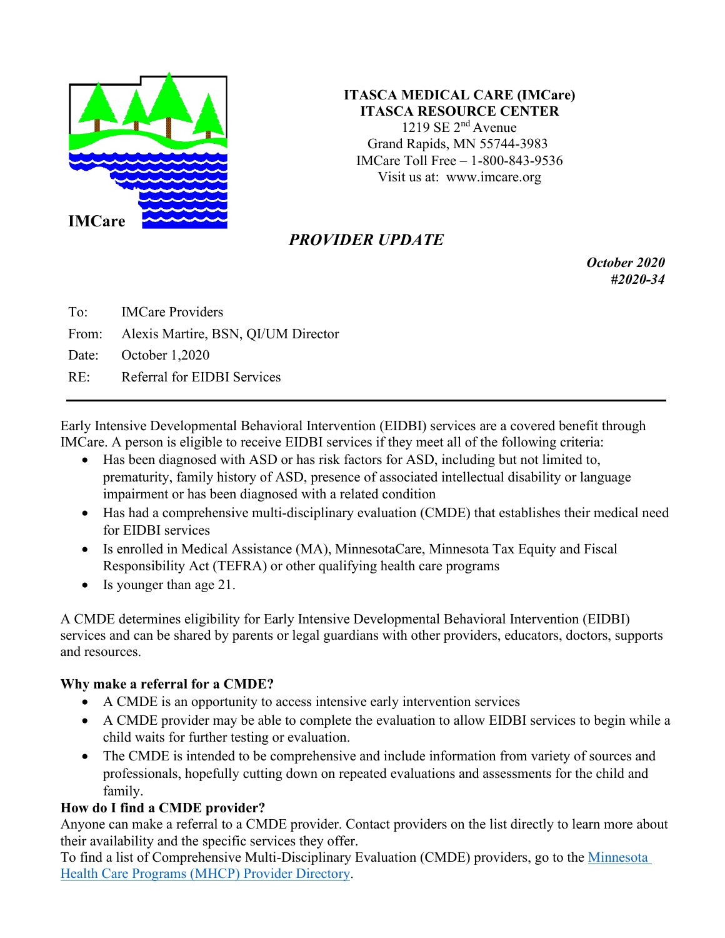

## **ITASCA MEDICAL CARE (IMCare) ITASCA RESOURCE CENTER** 1219 SE  $2<sup>nd</sup>$  Avenue Grand Rapids, MN 55744-3983 IMCare Toll Free – 1-800-843-9536 Visit us at: [www.imcare.org](http://www.imcare.org/)

# *PROVIDER UPDATE*

*October 2020 #2020-34*

To: IMCare Providers From: Alexis Martire, BSN, QI/UM Director Date: October 1,2020 RE: Referral for EIDBI Services

[Early Intensive Developmental Behavioral Intervention \(EIDBI\)](http://pathlore.dhs.mn.gov/Courseware/DisabilityServices/EIDBI/EIDBI101_F/index.html) services are a covered benefit through IMCare. A person is eligible to receive EIDBI services if they meet all of the following criteria:

- Has been diagnosed with ASD or has risk factors for ASD, including but not limited to, prematurity, family history of ASD, presence of associated intellectual disability or language impairment or has been diagnosed with a [related condition](https://www.dhs.state.mn.us/main/idcplg?IdcService=GET_DYNAMIC_CONVERSION&RevisionSelectionMethod=LatestReleased&dDocName=DHS16_195213)
- Has had a comprehensive multi-disciplinary evaluation (CMDE) that establishes their medical need for EIDBI services
- Is enrolled in Medical Assistance (MA), MinnesotaCare, Minnesota Tax Equity and Fiscal Responsibility Act (TEFRA) or other qualifying health care programs
- Is younger than age 21.

A CMDE determines eligibility for [Early Intensive Developmental Behavioral Intervention \(EIDBI\)](http://pathlore.dhs.mn.gov/Courseware/DisabilityServices/EIDBI/EIDBI101_F/index.html) services and can be shared by parents or legal guardians with other providers, educators, doctors, supports and resources.

# **Why make a referral for a CMDE?**

- A CMDE is an opportunity to access intensive early intervention services
- A CMDE provider may be able to complete the evaluation to allow EIDBI services to begin while a child waits for further testing or evaluation.
- The CMDE is intended to be comprehensive and include information from variety of sources and professionals, hopefully cutting down on repeated evaluations and assessments for the child and family.

# **How do I find a CMDE provider?**

Anyone can make a referral to a CMDE provider. Contact providers on the list directly to learn more about their availability and the specific services they offer.

To find a list of Comprehensive Multi-Disciplinary Evaluation (CMDE) providers, go to the [Minnesota](http://mhcpproviderdirectory.dhs.state.mn.us/) Health Care Programs (MHCP) Provider [Directory.](http://mhcpproviderdirectory.dhs.state.mn.us/)